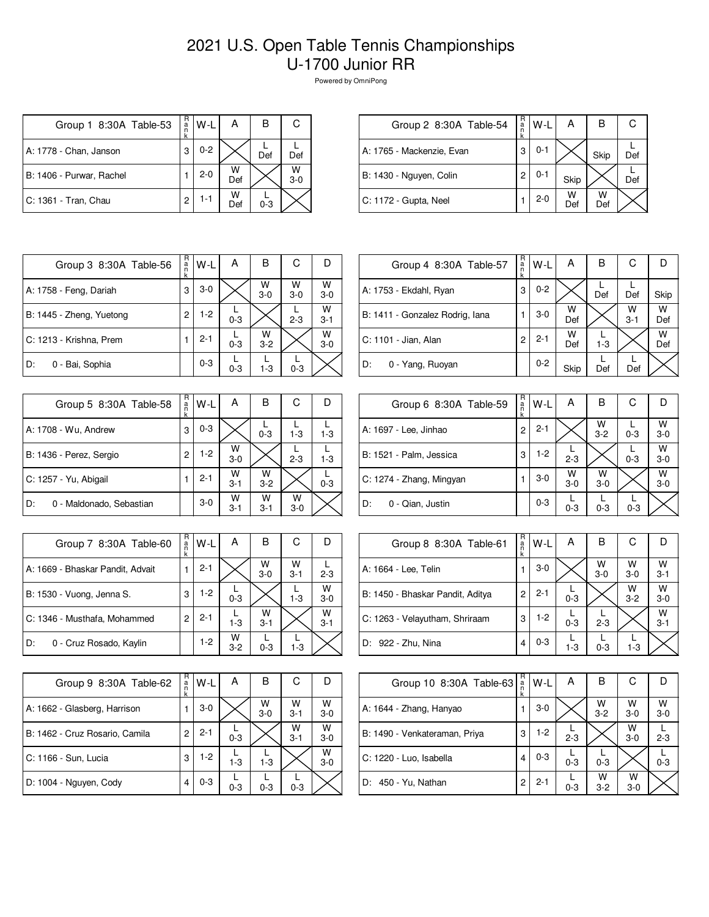## 2021 U.S. Open Table Tennis Championships U-1700 Junior RR

Powered by OmniPong

| Group 1 8:30A Table-53   | R<br>a | W-L     | А        | в       | С          |
|--------------------------|--------|---------|----------|---------|------------|
| A: 1778 - Chan, Janson   | 3      | $0 - 2$ |          | Def     | Def        |
| B: 1406 - Purwar, Rachel |        | $2 - 0$ | W<br>Def |         | W<br>$3-0$ |
| C: 1361 - Tran, Chau     | 2      | 1-1     | W<br>Def | $0 - 3$ |            |

| Group 2 8:30A Table-54    | R<br>$\frac{a}{n}$ | $W-L$   | А        | в        |     |
|---------------------------|--------------------|---------|----------|----------|-----|
| A: 1765 - Mackenzie, Evan | 3                  | $0 - 1$ |          | Skip     | Def |
| B: 1430 - Nguyen, Colin   | 2                  | 0-1     | Skip     |          | Def |
| C: 1172 - Gupta, Neel     |                    | $2 - 0$ | w<br>Def | w<br>Def |     |

| Group 3 8:30A Table-56   | R<br>a<br>n<br>k | W-L     | А       | В            | С          | I)           |
|--------------------------|------------------|---------|---------|--------------|------------|--------------|
| A: 1758 - Feng, Dariah   | 3                | $3-0$   |         | W<br>$3-0$   | W<br>$3-0$ | W<br>$3-0$   |
| B: 1445 - Zheng, Yuetong | 2                | $1-2$   | $0 - 3$ |              | $2 - 3$    | W<br>$3 - 1$ |
| C: 1213 - Krishna, Prem  |                  | $2 - 1$ | $0 - 3$ | w<br>$3 - 2$ |            | W<br>$3-0$   |
| 0 - Bai, Sophia<br>D:    |                  | $0 - 3$ | $0 - 3$ | $1-3$        | $0 - 3$    |              |

| Group 5 8:30A Table-58         | R<br>a<br>n<br>k | W-L     | A            | в            | С          |         |
|--------------------------------|------------------|---------|--------------|--------------|------------|---------|
| A: 1708 - Wu, Andrew           | 3                | $0 - 3$ |              | $0 - 3$      | $1 - 3$    | $1 - 3$ |
| B: 1436 - Perez, Sergio        | $\overline{c}$   | $1-2$   | W<br>$3-0$   |              | $2 - 3$    | $1 - 3$ |
| C: 1257 - Yu, Abigail          |                  | $2 - 1$ | W<br>$3 - 1$ | W<br>$3 - 2$ |            | $0 - 3$ |
| 0 - Maldonado, Sebastian<br>D: |                  | $3-0$   | W<br>$3 - 1$ | W<br>$3 - 1$ | W<br>$3-0$ |         |

| Group 7 8:30A Table-60           | R<br>a<br>n<br>k | $W-L$   | А            | в            | C            |              |
|----------------------------------|------------------|---------|--------------|--------------|--------------|--------------|
| A: 1669 - Bhaskar Pandit, Advait |                  | $2 - 1$ |              | W<br>$3-0$   | W<br>$3 - 1$ | $2 - 3$      |
| B: 1530 - Vuong, Jenna S.        | 3                | $1-2$   | $0 - 3$      |              | $1 - 3$      | W<br>$3 - 0$ |
| C: 1346 - Musthafa, Mohammed     |                  | $2 - 1$ | $1-3$        | W<br>$3 - 1$ |              | W<br>$3 - 1$ |
| 0 - Cruz Rosado, Kaylin<br>D:    |                  | $1-2$   | w<br>$3 - 2$ | $0 - 3$      | $1-3$        |              |

| Group 9 8:30A Table-62         | R<br>a<br>n<br>k | W-L     | А       | в          | С            |              |
|--------------------------------|------------------|---------|---------|------------|--------------|--------------|
| A: 1662 - Glasberg, Harrison   |                  | $3-0$   |         | W<br>$3-0$ | W<br>$3 - 1$ | W<br>$3-0$   |
| B: 1462 - Cruz Rosario, Camila | 2                | $2 - 1$ | $0 - 3$ |            | W<br>$3 - 1$ | W<br>$3-0$   |
| C: 1166 - Sun, Lucia           | 3                | $1-2$   | $1-3$   | $1 - 3$    |              | W<br>$3 - 0$ |
| D: 1004 - Nguyen, Cody         |                  | $0 - 3$ | $0 - 3$ | $0 - 3$    | $0 - 3$      |              |

| Group 4 8:30A Table-57          | R<br>a<br>k | W-L     | А        | В       | C            |          |
|---------------------------------|-------------|---------|----------|---------|--------------|----------|
| A: 1753 - Ekdahl, Ryan          | 3           | $0 - 2$ |          | Def     | Def          | Skip     |
| B: 1411 - Gonzalez Rodrig, Iana |             | 3-0     | W<br>Def |         | W<br>$3 - 1$ | W<br>Def |
| C: 1101 - Jian, Alan            | 2           | $2 - 1$ | W<br>Def | $1 - 3$ |              | W<br>Def |
| D:<br>0 - Yang, Ruoyan          |             | $0 - 2$ | Skip     | Def     | Def          |          |

| Group 6 8:30A Table-59   | R<br>a<br>n | W-L     | А            | в            | С       |              |
|--------------------------|-------------|---------|--------------|--------------|---------|--------------|
| A: 1697 - Lee, Jinhao    | 2           | $2 - 1$ |              | W<br>$3 - 2$ | $0 - 3$ | W<br>$3-0$   |
| B: 1521 - Palm, Jessica  | 3           | $1-2$   | $2 - 3$      |              | $0 - 3$ | W<br>$3-0$   |
| C: 1274 - Zhang, Mingyan |             | $3-0$   | W<br>$3 - 0$ | W<br>$3-0$   |         | W<br>$3 - 0$ |
| D:<br>0 - Qian, Justin   |             | $0 - 3$ | $0 - 3$      | $0 - 3$      | $0 - 3$ |              |

| Group 8 8:30A Table-61           | R<br>a<br>n<br>k | W-L     | Α       | В                  | С            |              |
|----------------------------------|------------------|---------|---------|--------------------|--------------|--------------|
| A: 1664 - Lee, Telin             |                  | $3-0$   |         | $W$ <sub>3-0</sub> | W<br>$3-0$   | W<br>$3 - 1$ |
| B: 1450 - Bhaskar Pandit, Aditya | 2                | $2 - 1$ | $0 - 3$ |                    | W<br>$3 - 2$ | W<br>$3 - 0$ |
| C: 1263 - Velayutham, Shriraam   | 3                | $1-2$   | $0 - 3$ | $2 - 3$            |              | W<br>$3 - 1$ |
| D: 922 - Zhu, Nina               | 4                | $0 - 3$ | $1 - 3$ | $0 - 3$            | $1 - 3$      |              |

| Group 10 8:30A Table-63       | R<br>$\frac{a}{n}$<br>k | $W-L$   | А       | в                  | С            |            |
|-------------------------------|-------------------------|---------|---------|--------------------|--------------|------------|
| A: 1644 - Zhang, Hanyao       |                         | $3-0$   |         | $W$ <sub>3-2</sub> | W<br>$3-0$   | W<br>$3-0$ |
| B: 1490 - Venkateraman, Priya | 3                       | $1-2$   | $2 - 3$ |                    | W<br>$3-0$   | $2 - 3$    |
| C: 1220 - Luo, Isabella       | 4                       | $0 - 3$ | $0 - 3$ | $0 - 3$            |              | $0 - 3$    |
| D: 450 - Yu, Nathan           | 2                       | $2 - 1$ | $0 - 3$ | w<br>$3-2$         | W<br>$3 - 0$ |            |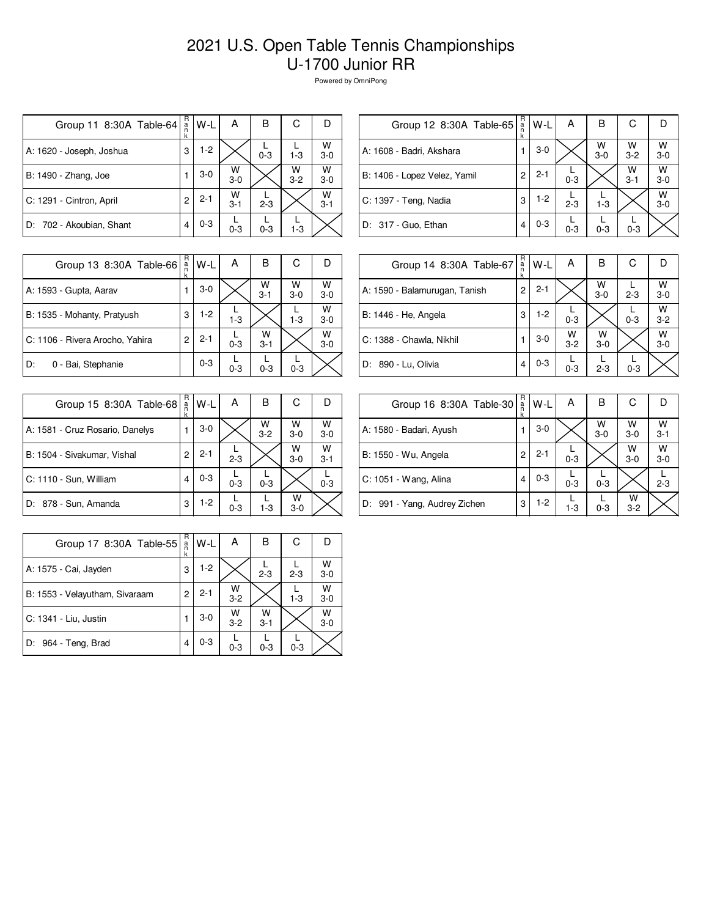## 2021 U.S. Open Table Tennis Championships U-1700 Junior RR

Powered by OmniPong

| Group 11 8:30A Table-64  | R<br>a<br>n<br>k | W-L     | А            | B       | С            | D            |
|--------------------------|------------------|---------|--------------|---------|--------------|--------------|
| A: 1620 - Joseph, Joshua | 3                | $1-2$   |              | $0 - 3$ | $1 - 3$      | W<br>$3-0$   |
| B: 1490 - Zhang, Joe     |                  | $3-0$   | W<br>$3-0$   |         | W<br>$3 - 2$ | W<br>$3-0$   |
| C: 1291 - Cintron, April | 2                | $2 - 1$ | W<br>$3 - 1$ | $2 - 3$ |              | W<br>$3 - 1$ |
| D: 702 - Akoubian, Shant | 4                | $0 - 3$ | $0 - 3$      | $0 - 3$ | $1 - 3$      |              |

| Group 12 8:30A Table-65      | R<br>$\frac{a}{n}$<br>k | W-L     | А       | в                  | С                  |                    |
|------------------------------|-------------------------|---------|---------|--------------------|--------------------|--------------------|
| A: 1608 - Badri, Akshara     | 1                       | $3-0$   |         | $W$ <sub>3-0</sub> | $W$ <sub>3-2</sub> | $W$ <sub>3-0</sub> |
| B: 1406 - Lopez Velez, Yamil | 2                       | $2 - 1$ | $0 - 3$ |                    | W<br>$3 - 1$       | W<br>$3-0$         |
| C: 1397 - Teng, Nadia        | 3                       | $1-2$   | $2 - 3$ | $1 - 3$            |                    | W<br>$3 - 0$       |
| D: 317 - Guo, Ethan          | 4                       | $0 - 3$ | $0 - 3$ | $0 - 3$            | $0 - 3$            |                    |
|                              |                         |         |         |                    |                    |                    |

| Group 13 8:30A Table-66         | R<br>a<br>k | W-L     | А       | B            | С          |              |
|---------------------------------|-------------|---------|---------|--------------|------------|--------------|
| A: 1593 - Gupta, Aarav          |             | $3-0$   |         | W<br>$3 - 1$ | W<br>$3-0$ | W<br>$3 - 0$ |
| B: 1535 - Mohanty, Pratyush     | 3           | $1-2$   | $1 - 3$ |              | $1 - 3$    | W<br>$3 - 0$ |
| C: 1106 - Rivera Arocho, Yahira | 2           | $2 - 1$ | $0 - 3$ | W<br>$3 - 1$ |            | W<br>$3 - 0$ |
| 0 - Bai, Stephanie<br>D:        |             | $0 - 3$ | $0 - 3$ | $0 - 3$      | $0 - 3$    |              |

| Group 14 8:30A Table-67       | R<br>$\frac{a}{n}$<br>k | W-L     | А            | В          | С       | D            |
|-------------------------------|-------------------------|---------|--------------|------------|---------|--------------|
| A: 1590 - Balamurugan, Tanish | 2                       | $2 - 1$ |              | W<br>$3-0$ | $2 - 3$ | W<br>$3 - 0$ |
| B: 1446 - He, Angela          | 3                       | $1-2$   | $0 - 3$      |            | $0 - 3$ | W<br>$3 - 2$ |
| C: 1388 - Chawla, Nikhil      |                         | $3-0$   | W<br>$3 - 2$ | W<br>$3-0$ |         | W<br>$3 - 0$ |
| D: 890 - Lu, Olivia           | 4                       | $0 - 3$ | $0 - 3$      | $2 - 3$    | $0 - 3$ |              |

| Group 15 8:30A Table-68         | R<br>a<br>k | W-L     | А       | в            | С          |              |
|---------------------------------|-------------|---------|---------|--------------|------------|--------------|
| A: 1581 - Cruz Rosario, Danelys |             | $3-0$   |         | W<br>$3 - 2$ | W<br>$3-0$ | w<br>$3-0$   |
| B: 1504 - Sivakumar, Vishal     | 2           | $2 - 1$ | $2 - 3$ |              | W<br>$3-0$ | W<br>$3 - 1$ |
| C: 1110 - Sun, William          | 4           | $0 - 3$ | $0 - 3$ | $0 - 3$      |            | $0 - 3$      |
| D: 878 - Sun, Amanda            | 3           | $1-2$   | $0 - 3$ | $1 - 3$      | w<br>$3-0$ |              |

| Group 16 8:30A Table-30      | R<br>$\frac{a}{n}$<br>k | W-L     | Α       | в          | С            |              |
|------------------------------|-------------------------|---------|---------|------------|--------------|--------------|
| A: 1580 - Badari, Ayush      |                         | $3-0$   |         | w<br>$3-0$ | W<br>$3-0$   | W<br>$3 - 1$ |
| B: 1550 - Wu, Angela         | 2                       | $2 - 1$ | $0 - 3$ |            | W<br>$3-0$   | W<br>$3-0$   |
| C: 1051 - Wang, Alina        | 4                       | $0 - 3$ | $0 - 3$ | $0 - 3$    |              | $2 - 3$      |
| D: 991 - Yang, Audrey Zichen | 3                       | $1-2$   | $1-3$   | $0 - 3$    | W<br>$3 - 2$ |              |

| Group 17 8:30A Table-55        | R<br>a<br>k | W-L     | А            | в            | С       |              |
|--------------------------------|-------------|---------|--------------|--------------|---------|--------------|
| A: 1575 - Cai, Jayden          | 3           | $1-2$   |              | $2 - 3$      | $2 - 3$ | W<br>$3 - 0$ |
| B: 1553 - Velayutham, Sivaraam | 2           | $2 - 1$ | W<br>$3 - 2$ |              | $1 - 3$ | W<br>$3 - 0$ |
| C: 1341 - Liu, Justin          |             | $3-0$   | W<br>$3 - 2$ | w<br>$3 - 1$ |         | W<br>$3 - 0$ |
| D: 964 - Teng, Brad            | 4           | $0 - 3$ | $0 - 3$      | $0 - 3$      | $0 - 3$ |              |